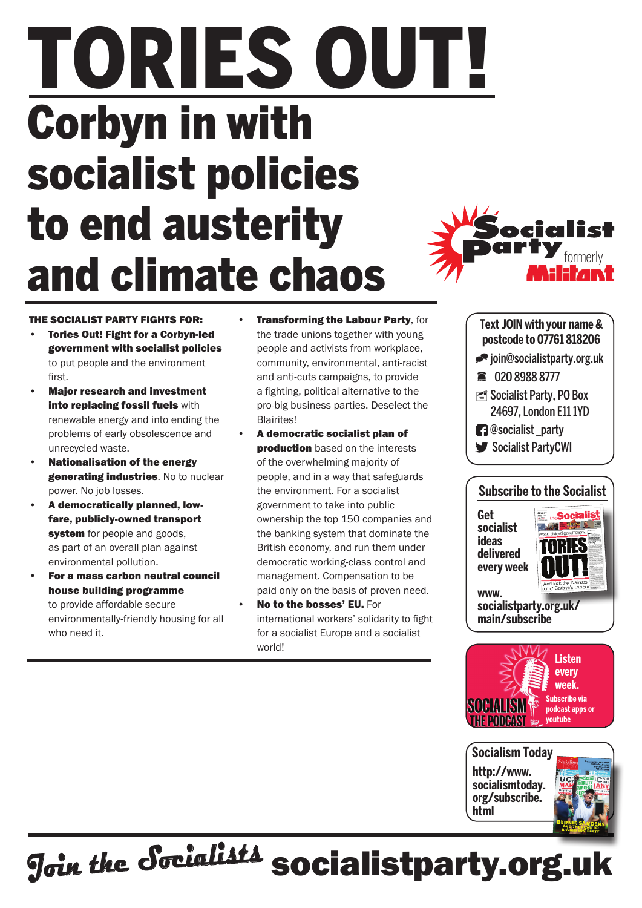# TORIES OUT! Corbyn in with socialist policies to end austerity and climate chaos

### The Socialist Party fights for:

- **Tories Out! Fight for a Corbyn-led** government with socialist policies to put people and the environment first.
- **Maior research and investment** into replacing fossil fuels with renewable energy and into ending the problems of early obsolescence and unrecycled waste.
- **Nationalisation of the energy** generating industries. No to nuclear power. No job losses.
- A democratically planned, lowfare, publicly-owned transport system for people and goods, as part of an overall plan against environmental pollution.
- For a mass carbon neutral council house building programme to provide affordable secure environmentally-friendly housing for all who need it.
- Transforming the Labour Party, for the trade unions together with young people and activists from workplace, community, environmental, anti-racist and anti-cuts campaigns, to provide a fighting, political alternative to the pro-big business parties. Deselect the Blairites!
- A democratic socialist plan of **production** based on the interests of the overwhelming majority of people, and in a way that safeguards the environment. For a socialist government to take into public ownership the top 150 companies and the banking system that dominate the British economy, and run them under democratic working-class control and management. Compensation to be paid only on the basis of proven need.
- No to the bosses' EU. For international workers' solidarity to fight for a socialist Europe and a socialist world!



formerly

ialist

### **Subscribe to the Socialist**

**Get socialist ideas delivered every week** Socialis

**www. socialistparty.org.uk/ main/subscribe**



**http://www. socialismtoday. org/subscribe. html Socialism Today**



## J<sub>oin the</sub> Socialists socialistparty.org.uk